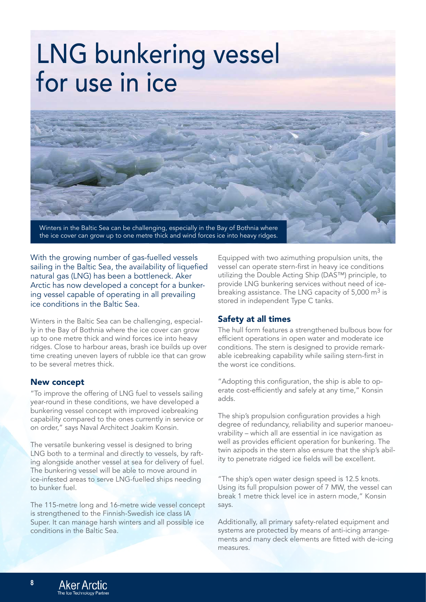# LNG bunkering vessel for use in ice



the ice cover can grow up to one metre thick and wind forces ice into heavy ridges.

With the growing number of gas-fuelled vessels sailing in the Baltic Sea, the availability of liquefied natural gas (LNG) has been a bottleneck. Aker Arctic has now developed a concept for a bunkering vessel capable of operating in all prevailing ice conditions in the Baltic Sea.

Winters in the Baltic Sea can be challenging, especially in the Bay of Bothnia where the ice cover can grow up to one metre thick and wind forces ice into heavy ridges. Close to harbour areas, brash ice builds up over time creating uneven layers of rubble ice that can grow to be several metres thick.

#### New concept

"To improve the offering of LNG fuel to vessels sailing year-round in these conditions, we have developed a bunkering vessel concept with improved icebreaking capability compared to the ones currently in service or on order," says Naval Architect Joakim Konsin.

The versatile bunkering vessel is designed to bring LNG both to a terminal and directly to vessels, by rafting alongside another vessel at sea for delivery of fuel. The bunkering vessel will be able to move around in ice-infested areas to serve LNG-fuelled ships needing to bunker fuel.

The 115-metre long and 16-metre wide vessel concept is strengthened to the Finnish-Swedish ice class IA Super. It can manage harsh winters and all possible ice conditions in the Baltic Sea.

Equipped with two azimuthing propulsion units, the vessel can operate stern-first in heavy ice conditions utilizing the Double Acting Ship (DAS™) principle, to provide LNG bunkering services without need of icebreaking assistance. The LNG capacity of  $5,000 \text{ m}^3$  is stored in independent Type C tanks.

## Safety at all times

The hull form features a strengthened bulbous bow for efficient operations in open water and moderate ice conditions. The stern is designed to provide remarkable icebreaking capability while sailing stern-first in the worst ice conditions.

"Adopting this configuration, the ship is able to operate cost-efficiently and safely at any time," Konsin adds.

The ship's propulsion configuration provides a high degree of redundancy, reliability and superior manoeuvrability – which all are essential in ice navigation as well as provides efficient operation for bunkering. The twin azipods in the stern also ensure that the ship's ability to penetrate ridged ice fields will be excellent.

"The ship's open water design speed is 12.5 knots. Using its full propulsion power of 7 MW, the vessel can break 1 metre thick level ice in astern mode," Konsin says.

Additionally, all primary safety-related equipment and systems are protected by means of anti-icing arrangements and many deck elements are fitted with de-icing measures.